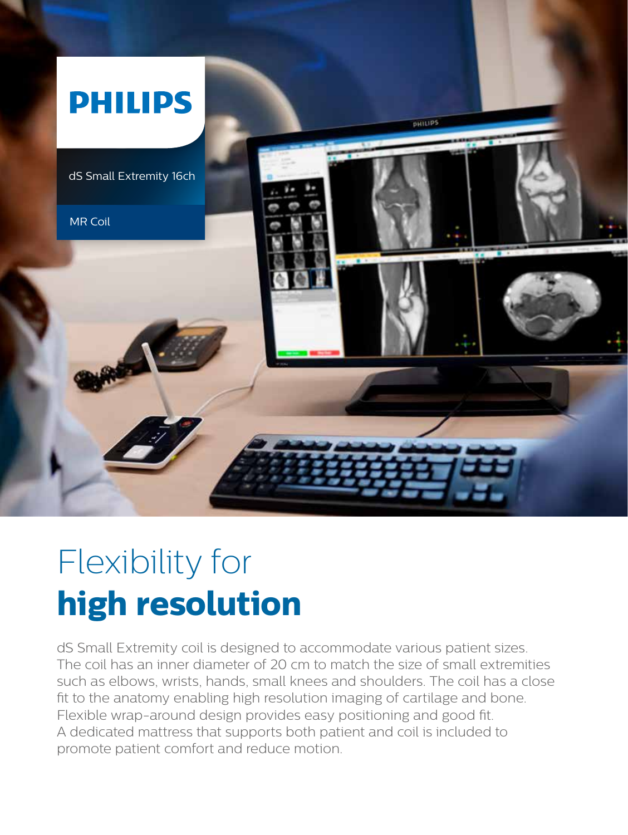

## Flexibility for **high resolution**

dS Small Extremity coil is designed to accommodate various patient sizes. The coil has an inner diameter of 20 cm to match the size of small extremities such as elbows, wrists, hands, small knees and shoulders. The coil has a close fit to the anatomy enabling high resolution imaging of cartilage and bone. Flexible wrap-around design provides easy positioning and good fit. A dedicated mattress that supports both patient and coil is included to promote patient comfort and reduce motion.